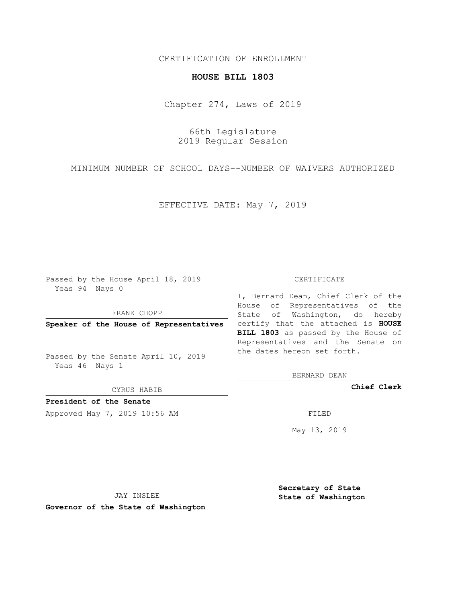### CERTIFICATION OF ENROLLMENT

# **HOUSE BILL 1803**

Chapter 274, Laws of 2019

66th Legislature 2019 Regular Session

MINIMUM NUMBER OF SCHOOL DAYS--NUMBER OF WAIVERS AUTHORIZED

EFFECTIVE DATE: May 7, 2019

Passed by the House April 18, 2019 Yeas 94 Nays 0

FRANK CHOPP

Passed by the Senate April 10, 2019 Yeas 46 Nays 1

CYRUS HABIB

**President of the Senate**

Approved May 7, 2019 10:56 AM FILED

#### CERTIFICATE

**Speaker of the House of Representatives** certify that the attached is **HOUSE** I, Bernard Dean, Chief Clerk of the House of Representatives of the State of Washington, do hereby **BILL 1803** as passed by the House of Representatives and the Senate on the dates hereon set forth.

BERNARD DEAN

**Chief Clerk**

May 13, 2019

JAY INSLEE

**Governor of the State of Washington**

**Secretary of State State of Washington**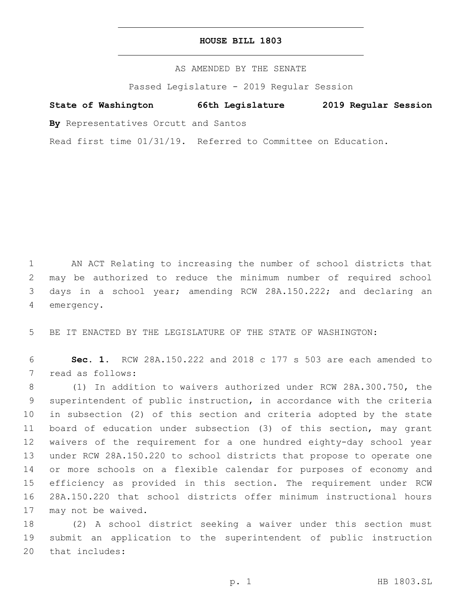### **HOUSE BILL 1803**

AS AMENDED BY THE SENATE

Passed Legislature - 2019 Regular Session

# **State of Washington 66th Legislature 2019 Regular Session**

**By** Representatives Orcutt and Santos

Read first time 01/31/19. Referred to Committee on Education.

 AN ACT Relating to increasing the number of school districts that may be authorized to reduce the minimum number of required school days in a school year; amending RCW 28A.150.222; and declaring an 4 emergency.

5 BE IT ENACTED BY THE LEGISLATURE OF THE STATE OF WASHINGTON:

6 **Sec. 1.** RCW 28A.150.222 and 2018 c 177 s 503 are each amended to 7 read as follows:

 (1) In addition to waivers authorized under RCW 28A.300.750, the superintendent of public instruction, in accordance with the criteria in subsection (2) of this section and criteria adopted by the state board of education under subsection (3) of this section, may grant waivers of the requirement for a one hundred eighty-day school year under RCW 28A.150.220 to school districts that propose to operate one or more schools on a flexible calendar for purposes of economy and efficiency as provided in this section. The requirement under RCW 28A.150.220 that school districts offer minimum instructional hours 17 may not be waived.

18 (2) A school district seeking a waiver under this section must 19 submit an application to the superintendent of public instruction 20 that includes: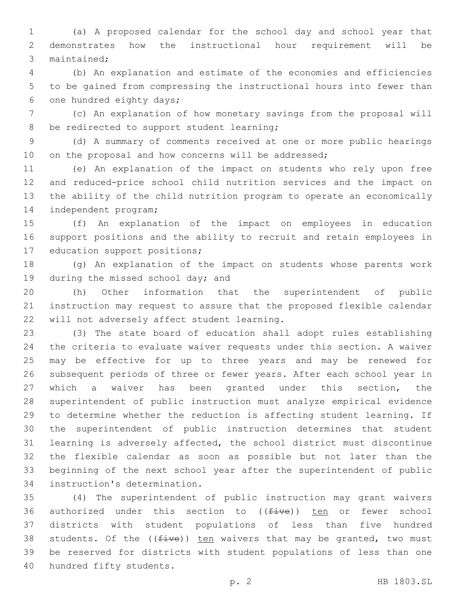(a) A proposed calendar for the school day and school year that demonstrates how the instructional hour requirement will be 3 maintained:

 (b) An explanation and estimate of the economies and efficiencies to be gained from compressing the instructional hours into fewer than 6 one hundred eighty days;

 (c) An explanation of how monetary savings from the proposal will 8 be redirected to support student learning;

 (d) A summary of comments received at one or more public hearings 10 on the proposal and how concerns will be addressed;

 (e) An explanation of the impact on students who rely upon free and reduced-price school child nutrition services and the impact on the ability of the child nutrition program to operate an economically 14 independent program;

 (f) An explanation of the impact on employees in education support positions and the ability to recruit and retain employees in 17 education support positions;

 (g) An explanation of the impact on students whose parents work 19 during the missed school day; and

 (h) Other information that the superintendent of public instruction may request to assure that the proposed flexible calendar 22 will not adversely affect student learning.

 (3) The state board of education shall adopt rules establishing the criteria to evaluate waiver requests under this section. A waiver may be effective for up to three years and may be renewed for subsequent periods of three or fewer years. After each school year in which a waiver has been granted under this section, the superintendent of public instruction must analyze empirical evidence to determine whether the reduction is affecting student learning. If the superintendent of public instruction determines that student learning is adversely affected, the school district must discontinue the flexible calendar as soon as possible but not later than the beginning of the next school year after the superintendent of public 34 instruction's determination.

 (4) The superintendent of public instruction may grant waivers 36 authorized under this section to  $((\text{five}))$  ten or fewer school districts with student populations of less than five hundred 38 students. Of the  $(f\text{div}e)$ ) ten waivers that may be granted, two must be reserved for districts with student populations of less than one 40 hundred fifty students.